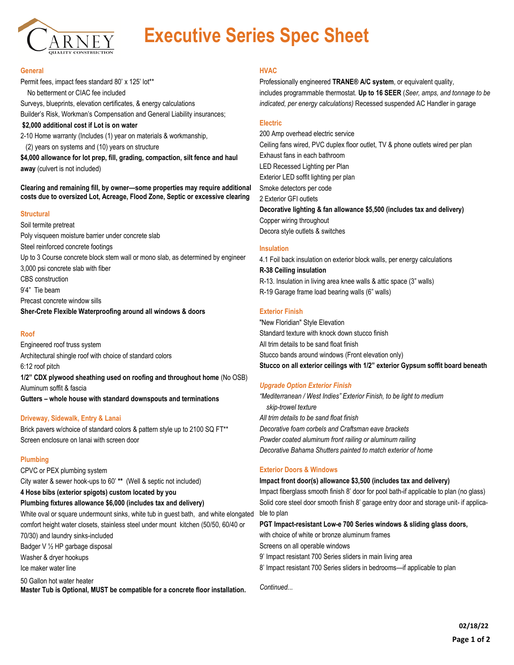

# **Executive Series Spec Sheet**

#### **General**

Permit fees, impact fees standard 80' x 125' lot\*\* No betterment or CIAC fee included Surveys, blueprints, elevation certificates, & energy calculations

Builder's Risk, Workman's Compensation and General Liability insurances;

**\$2,000 additional cost if Lot is on water**

2-10 Home warranty (Includes (1) year on materials & workmanship, (2) years on systems and (10) years on structure

**\$4,000 allowance for lot prep, fill, grading, compaction, silt fence and haul away** (culvert is not included)

**Clearing and remaining fill, by owner—some properties may require additional costs due to oversized Lot, Acreage, Flood Zone, Septic or excessive clearing**

### **Structural**

Soil termite pretreat Poly visqueen moisture barrier under concrete slab Steel reinforced concrete footings Up to 3 Course concrete block stem wall or mono slab, as determined by engineer 3,000 psi concrete slab with fiber CBS construction 9'4" Tie beam Precast concrete window sills **Sher-Crete Flexible Waterproofing around all windows & doors**

# **Roof**

Engineered roof truss system Architectural shingle roof with choice of standard colors 6:12 roof pitch **1/2" CDX plywood sheathing used on roofing and throughout home** (No OSB)

Aluminum soffit & fascia

**Gutters – whole house with standard downspouts and terminations**

### **Driveway, Sidewalk, Entry & Lanai**

Brick pavers w/choice of standard colors & pattern style up to 2100 SQ FT\*\* Screen enclosure on lanai with screen door

### **Plumbing**

CPVC or PEX plumbing system

City water & sewer hook-ups to 60' **\*\*** (Well & septic not included)

**4 Hose bibs (exterior spigots) custom located by you**

### **Plumbing fixtures allowance \$6,000 (includes tax and delivery)**

White oval or square undermount sinks, white tub in guest bath, and white elongated comfort height water closets, stainless steel under mount kitchen (50/50, 60/40 or

70/30) and laundry sinks-included Badger V ½ HP garbage disposal

Washer & dryer hookups

Ice maker water line

50 Gallon hot water heater

**Master Tub is Optional, MUST be compatible for a concrete floor installation.**

## **HVAC**

Professionally engineered **TRANE® A/C system**, or equivalent quality, includes programmable thermostat. **Up to 16 SEER** (*Seer, amps, and tonnage to be indicated, per energy calculations)* Recessed suspended AC Handler in garage

## **Electric**

200 Amp overhead electric service Ceiling fans wired, PVC duplex floor outlet, TV & phone outlets wired per plan Exhaust fans in each bathroom LED Recessed Lighting per Plan Exterior LED soffit lighting per plan Smoke detectors per code 2 Exterior GFI outlets **Decorative lighting & fan allowance \$5,500 (includes tax and delivery)** Copper wiring throughout

Decora style outlets & switches

### **Insulation**

4.1 Foil back insulation on exterior block walls, per energy calculations **R-38 Ceiling insulation** R-13. Insulation in living area knee walls & attic space (3" walls) R-19 Garage frame load bearing walls (6" walls)

## **Exterior Finish**

"New Floridian" Style Elevation Standard texture with knock down stucco finish All trim details to be sand float finish Stucco bands around windows (Front elevation only) **Stucco on all exterior ceilings with 1/2" exterior Gypsum soffit board beneath**

# *Upgrade Option Exterior Finish*

*"Mediterranean / West Indies" Exterior Finish, to be light to medium skip-trowel texture All trim details to be sand float finish Decorative foam corbels and Craftsman eave brackets Powder coated aluminum front railing or aluminum railing Decorative Bahama Shutters painted to match exterior of home* 

# **Exterior Doors & Windows**

### **Impact front door(s) allowance \$3,500 (includes tax and delivery)**

Impact fiberglass smooth finish 8' door for pool bath-if applicable to plan (no glass) Solid core steel door smooth finish 8' garage entry door and storage unit- if applicable to plan

### **PGT Impact-resistant Low-e 700 Series windows & sliding glass doors,**

with choice of white or bronze aluminum frames

Screens on all operable windows

9' Impact resistant 700 Series sliders in main living area

8' Impact resistant 700 Series sliders in bedrooms—if applicable to plan

*Continued...*